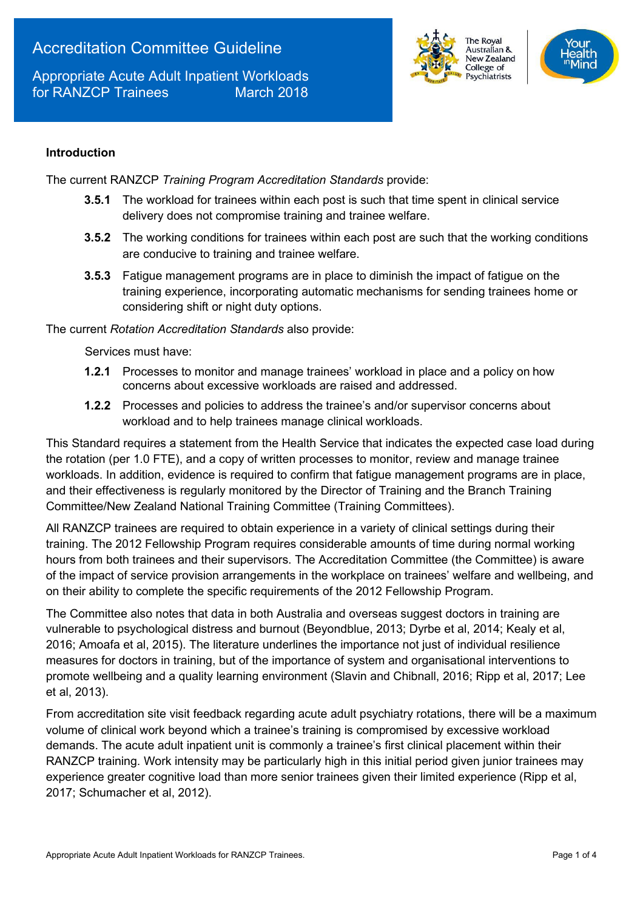# Accreditation Committee Guideline

Appropriate Acute Adult Inpatient Workloads for RANZCP Trainees March 2018





### **Introduction**

The current RANZCP *Training Program Accreditation Standards* provide:

- **3.5.1** The workload for trainees within each post is such that time spent in clinical service delivery does not compromise training and trainee welfare.
- **3.5.2** The working conditions for trainees within each post are such that the working conditions are conducive to training and trainee welfare.
- **3.5.3** Fatigue management programs are in place to diminish the impact of fatigue on the training experience, incorporating automatic mechanisms for sending trainees home or considering shift or night duty options.

The current *Rotation Accreditation Standards* also provide:

Services must have:

- **1.2.1** Processes to monitor and manage trainees' workload in place and a policy on how concerns about excessive workloads are raised and addressed.
- **1.2.2** Processes and policies to address the trainee's and/or supervisor concerns about workload and to help trainees manage clinical workloads.

This Standard requires a statement from the Health Service that indicates the expected case load during the rotation (per 1.0 FTE), and a copy of written processes to monitor, review and manage trainee workloads. In addition, evidence is required to confirm that fatigue management programs are in place, and their effectiveness is regularly monitored by the Director of Training and the Branch Training Committee/New Zealand National Training Committee (Training Committees).

All RANZCP trainees are required to obtain experience in a variety of clinical settings during their training. The 2012 Fellowship Program requires considerable amounts of time during normal working hours from both trainees and their supervisors. The Accreditation Committee (the Committee) is aware of the impact of service provision arrangements in the workplace on trainees' welfare and wellbeing, and on their ability to complete the specific requirements of the 2012 Fellowship Program.

The Committee also notes that data in both Australia and overseas suggest doctors in training are vulnerable to psychological distress and burnout (Beyondblue, 2013; Dyrbe et al, 2014; Kealy et al, 2016; Amoafa et al, 2015). The literature underlines the importance not just of individual resilience measures for doctors in training, but of the importance of system and organisational interventions to promote wellbeing and a quality learning environment (Slavin and Chibnall, 2016; Ripp et al, 2017; Lee et al, 2013).

From accreditation site visit feedback regarding acute adult psychiatry rotations, there will be a maximum volume of clinical work beyond which a trainee's training is compromised by excessive workload demands. The acute adult inpatient unit is commonly a trainee's first clinical placement within their RANZCP training. Work intensity may be particularly high in this initial period given junior trainees may experience greater cognitive load than more senior trainees given their limited experience (Ripp et al, 2017; Schumacher et al, 2012).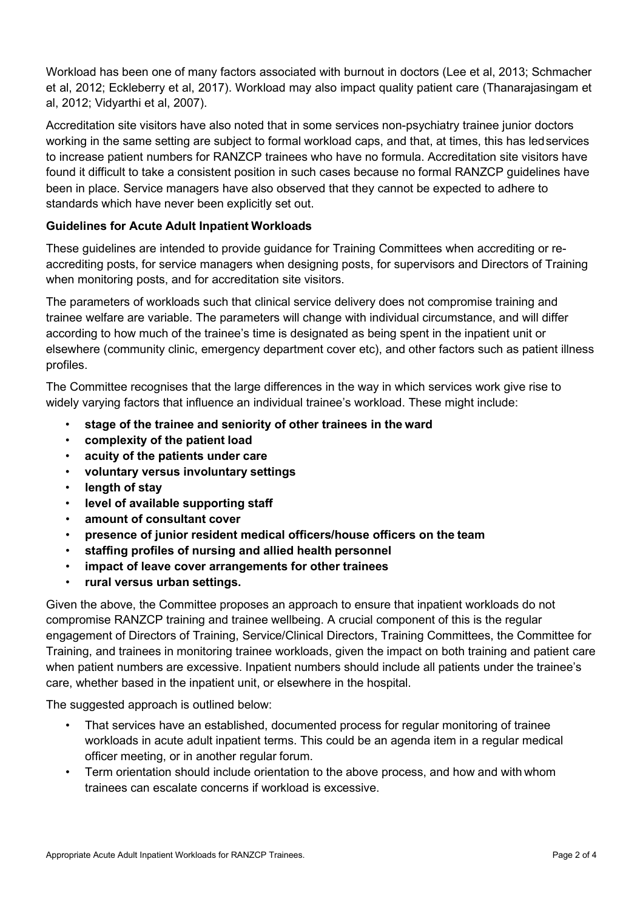Workload has been one of many factors associated with burnout in doctors (Lee et al, 2013; Schmacher et al, 2012; Eckleberry et al, 2017). Workload may also impact quality patient care (Thanarajasingam et al, 2012; Vidyarthi et al, 2007).

Accreditation site visitors have also noted that in some services non-psychiatry trainee junior doctors working in the same setting are subject to formal workload caps, and that, at times, this has ledservices to increase patient numbers for RANZCP trainees who have no formula. Accreditation site visitors have found it difficult to take a consistent position in such cases because no formal RANZCP guidelines have been in place. Service managers have also observed that they cannot be expected to adhere to standards which have never been explicitly set out.

## **Guidelines for Acute Adult Inpatient Workloads**

These guidelines are intended to provide guidance for Training Committees when accrediting or reaccrediting posts, for service managers when designing posts, for supervisors and Directors of Training when monitoring posts, and for accreditation site visitors.

The parameters of workloads such that clinical service delivery does not compromise training and trainee welfare are variable. The parameters will change with individual circumstance, and will differ according to how much of the trainee's time is designated as being spent in the inpatient unit or elsewhere (community clinic, emergency department cover etc), and other factors such as patient illness profiles.

The Committee recognises that the large differences in the way in which services work give rise to widely varying factors that influence an individual trainee's workload. These might include:

- **stage of the trainee and seniority of other trainees in the ward**
- **complexity of the patient load**
- **acuity of the patients under care**
- **voluntary versus involuntary settings**
- **length of stay**
- **level of available supporting staff**
- **amount of consultant cover**
- **presence of junior resident medical officers/house officers on the team**
- **staffing profiles of nursing and allied health personnel**
- **impact of leave cover arrangements for other trainees**
- **rural versus urban settings.**

Given the above, the Committee proposes an approach to ensure that inpatient workloads do not compromise RANZCP training and trainee wellbeing. A crucial component of this is the regular engagement of Directors of Training, Service/Clinical Directors, Training Committees, the Committee for Training, and trainees in monitoring trainee workloads, given the impact on both training and patient care when patient numbers are excessive. Inpatient numbers should include all patients under the trainee's care, whether based in the inpatient unit, or elsewhere in the hospital.

The suggested approach is outlined below:

- That services have an established, documented process for regular monitoring of trainee workloads in acute adult inpatient terms. This could be an agenda item in a regular medical officer meeting, or in another regular forum.
- Term orientation should include orientation to the above process, and how and with whom trainees can escalate concerns if workload is excessive.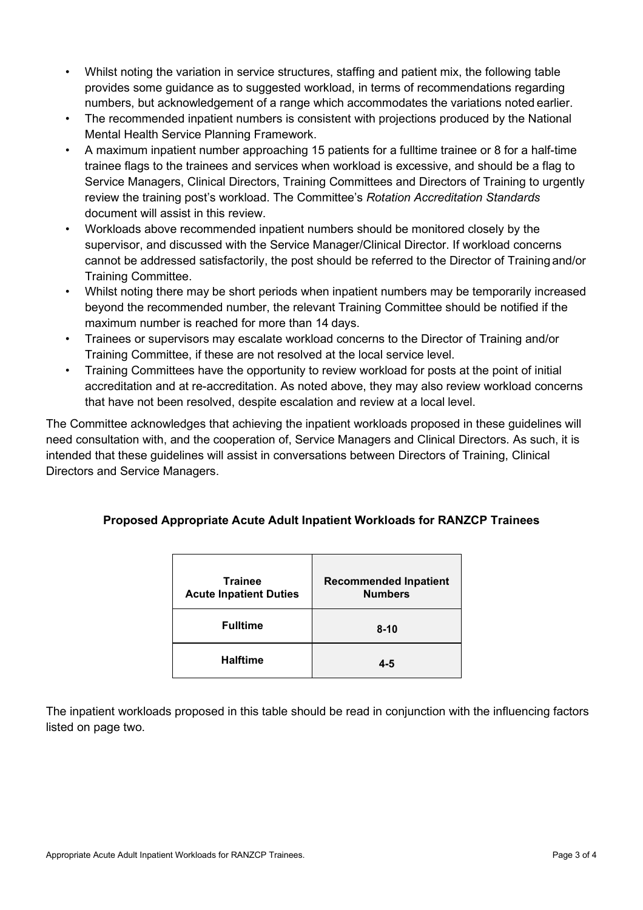- Whilst noting the variation in service structures, staffing and patient mix, the following table provides some guidance as to suggested workload, in terms of recommendations regarding numbers, but acknowledgement of a range which accommodates the variations noted earlier.
- The recommended inpatient numbers is consistent with projections produced by the National Mental Health Service Planning Framework.
- A maximum inpatient number approaching 15 patients for a fulltime trainee or 8 for a half-time trainee flags to the trainees and services when workload is excessive, and should be a flag to Service Managers, Clinical Directors, Training Committees and Directors of Training to urgently review the training post's workload. The Committee's *Rotation Accreditation Standards*  document will assist in this review.
- Workloads above recommended inpatient numbers should be monitored closely by the supervisor, and discussed with the Service Manager/Clinical Director. If workload concerns cannot be addressed satisfactorily, the post should be referred to the Director of Training and/or Training Committee.
- Whilst noting there may be short periods when inpatient numbers may be temporarily increased beyond the recommended number, the relevant Training Committee should be notified if the maximum number is reached for more than 14 days.
- Trainees or supervisors may escalate workload concerns to the Director of Training and/or Training Committee, if these are not resolved at the local service level.
- Training Committees have the opportunity to review workload for posts at the point of initial accreditation and at re-accreditation. As noted above, they may also review workload concerns that have not been resolved, despite escalation and review at a local level.

The Committee acknowledges that achieving the inpatient workloads proposed in these guidelines will need consultation with, and the cooperation of, Service Managers and Clinical Directors. As such, it is intended that these guidelines will assist in conversations between Directors of Training, Clinical Directors and Service Managers.

| Proposed Appropriate Acute Adult Inpatient Workloads for RANZCP Trainees |  |  |  |  |
|--------------------------------------------------------------------------|--|--|--|--|
|--------------------------------------------------------------------------|--|--|--|--|

| <b>Trainee</b><br><b>Acute Inpatient Duties</b> | <b>Recommended Inpatient</b><br><b>Numbers</b> |
|-------------------------------------------------|------------------------------------------------|
| <b>Fulltime</b>                                 | $8 - 10$                                       |
| <b>Halftime</b>                                 | 4-5                                            |

The inpatient workloads proposed in this table should be read in conjunction with the influencing factors listed on page two.